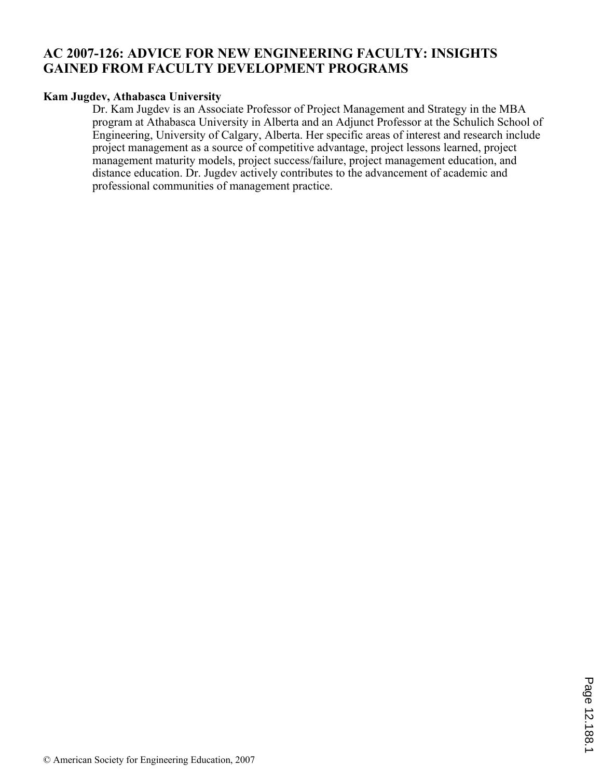# **AC 2007-126: ADVICE FOR NEW ENGINEERING FACULTY: INSIGHTS GAINED FROM FACULTY DEVELOPMENT PROGRAMS**

### **Kam Jugdev, Athabasca University**

Dr. Kam Jugdev is an Associate Professor of Project Management and Strategy in the MBA program at Athabasca University in Alberta and an Adjunct Professor at the Schulich School of Engineering, University of Calgary, Alberta. Her specific areas of interest and research include project management as a source of competitive advantage, project lessons learned, project management maturity models, project success/failure, project management education, and distance education. Dr. Jugdev actively contributes to the advancement of academic and professional communities of management practice.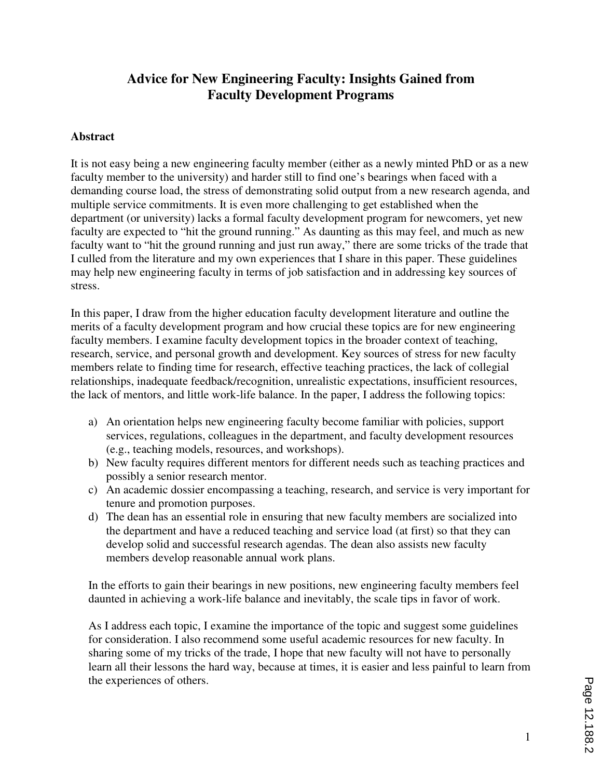# **Advice for New Engineering Faculty: Insights Gained from Faculty Development Programs**

#### **Abstract**

It is not easy being a new engineering faculty member (either as a newly minted PhD or as a new faculty member to the university) and harder still to find one's bearings when faced with a demanding course load, the stress of demonstrating solid output from a new research agenda, and multiple service commitments. It is even more challenging to get established when the department (or university) lacks a formal faculty development program for newcomers, yet new faculty are expected to "hit the ground running." As daunting as this may feel, and much as new faculty want to "hit the ground running and just run away," there are some tricks of the trade that I culled from the literature and my own experiences that I share in this paper. These guidelines may help new engineering faculty in terms of job satisfaction and in addressing key sources of stress.

In this paper, I draw from the higher education faculty development literature and outline the merits of a faculty development program and how crucial these topics are for new engineering faculty members. I examine faculty development topics in the broader context of teaching, research, service, and personal growth and development. Key sources of stress for new faculty members relate to finding time for research, effective teaching practices, the lack of collegial relationships, inadequate feedback/recognition, unrealistic expectations, insufficient resources, the lack of mentors, and little work-life balance. In the paper, I address the following topics:

- a) An orientation helps new engineering faculty become familiar with policies, support services, regulations, colleagues in the department, and faculty development resources (e.g., teaching models, resources, and workshops).
- b) New faculty requires different mentors for different needs such as teaching practices and possibly a senior research mentor.
- c) An academic dossier encompassing a teaching, research, and service is very important for tenure and promotion purposes.
- d) The dean has an essential role in ensuring that new faculty members are socialized into the department and have a reduced teaching and service load (at first) so that they can develop solid and successful research agendas. The dean also assists new faculty members develop reasonable annual work plans.

In the efforts to gain their bearings in new positions, new engineering faculty members feel daunted in achieving a work-life balance and inevitably, the scale tips in favor of work.

As I address each topic, I examine the importance of the topic and suggest some guidelines for consideration. I also recommend some useful academic resources for new faculty. In sharing some of my tricks of the trade, I hope that new faculty will not have to personally learn all their lessons the hard way, because at times, it is easier and less painful to learn from the experiences of others.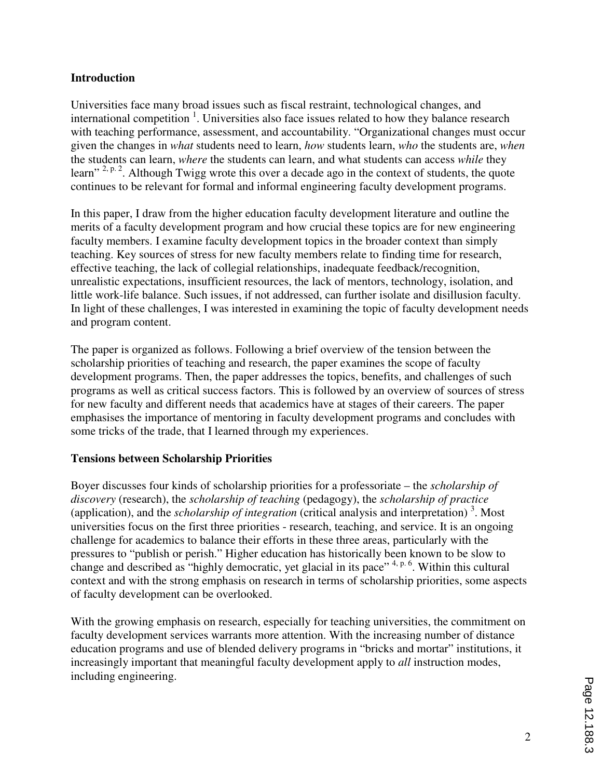### **Introduction**

Universities face many broad issues such as fiscal restraint, technological changes, and international competition<sup>1</sup>. Universities also face issues related to how they balance research with teaching performance, assessment, and accountability. "Organizational changes must occur given the changes in *what* students need to learn, *how* students learn, *who* the students are, *when* the students can learn, *where* the students can learn, and what students can access *while* they learn" <sup>2, p. 2</sup>. Although Twigg wrote this over a decade ago in the context of students, the quote continues to be relevant for formal and informal engineering faculty development programs.

In this paper, I draw from the higher education faculty development literature and outline the merits of a faculty development program and how crucial these topics are for new engineering faculty members. I examine faculty development topics in the broader context than simply teaching. Key sources of stress for new faculty members relate to finding time for research, effective teaching, the lack of collegial relationships, inadequate feedback/recognition, unrealistic expectations, insufficient resources, the lack of mentors, technology, isolation, and little work-life balance. Such issues, if not addressed, can further isolate and disillusion faculty. In light of these challenges, I was interested in examining the topic of faculty development needs and program content.

The paper is organized as follows. Following a brief overview of the tension between the scholarship priorities of teaching and research, the paper examines the scope of faculty development programs. Then, the paper addresses the topics, benefits, and challenges of such programs as well as critical success factors. This is followed by an overview of sources of stress for new faculty and different needs that academics have at stages of their careers. The paper emphasises the importance of mentoring in faculty development programs and concludes with some tricks of the trade, that I learned through my experiences.

### **Tensions between Scholarship Priorities**

Boyer discusses four kinds of scholarship priorities for a professoriate – the *scholarship of discovery* (research), the *scholarship of teaching* (pedagogy), the *scholarship of practice* (application), and the *scholarship of integration* (critical analysis and interpretation) <sup>3</sup> . Most universities focus on the first three priorities - research, teaching, and service. It is an ongoing challenge for academics to balance their efforts in these three areas, particularly with the pressures to "publish or perish." Higher education has historically been known to be slow to change and described as "highly democratic, yet glacial in its pace" 4, p. 6. Within this cultural context and with the strong emphasis on research in terms of scholarship priorities, some aspects of faculty development can be overlooked.

With the growing emphasis on research, especially for teaching universities, the commitment on faculty development services warrants more attention. With the increasing number of distance education programs and use of blended delivery programs in "bricks and mortar" institutions, it increasingly important that meaningful faculty development apply to *all* instruction modes, including engineering.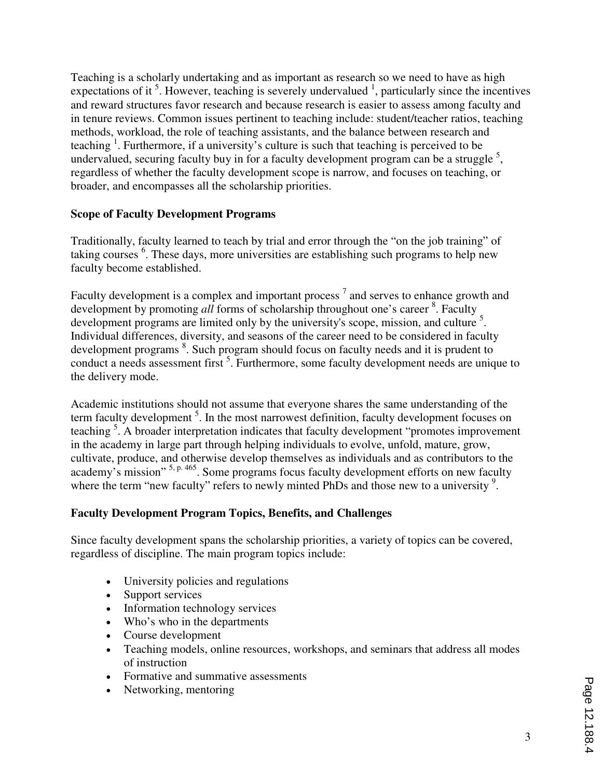Teaching is a scholarly undertaking and as important as research so we need to have as high expectations of it<sup>5</sup>. However, teaching is severely undervalued  $\frac{1}{2}$ , particularly since the incentives and reward structures favor research and because research is easier to assess among faculty and in tenure reviews. Common issues pertinent to teaching include: student/teacher ratios, teaching methods, workload, the role of teaching assistants, and the balance between research and teaching  $1$ . Furthermore, if a university's culture is such that teaching is perceived to be undervalued, securing faculty buy in for a faculty development program can be a struggle  $<sup>5</sup>$ ,</sup> regardless of whether the faculty development scope is narrow, and focuses on teaching, or broader, and encompasses all the scholarship priorities.

### **Scope of Faculty Development Programs**

Traditionally, faculty learned to teach by trial and error through the "on the job training" of taking courses <sup>6</sup>. These days, more universities are establishing such programs to help new faculty become established.

Faculty development is a complex and important process  $<sup>7</sup>$  and serves to enhance growth and</sup> development by promoting all forms of scholarship throughout one's career <sup>8</sup>. Faculty development programs are limited only by the university's scope, mission, and culture<sup>5</sup>. Individual differences, diversity, and seasons of the career need to be considered in faculty development programs <sup>8</sup>. Such program should focus on faculty needs and it is prudent to conduct a needs assessment first <sup>5</sup>. Furthermore, some faculty development needs are unique to the delivery mode.

Academic institutions should not assume that everyone shares the same understanding of the term faculty development<sup>5</sup>. In the most narrowest definition, faculty development focuses on teaching<sup>5</sup>. A broader interpretation indicates that faculty development "promotes improvement in the academy in large part through helping individuals to evolve, unfold, mature, grow, cultivate, produce, and otherwise develop themselves as individuals and as contributors to the academy's mission" <sup>5, p. 465</sup>. Some programs focus faculty development efforts on new faculty where the term "new faculty" refers to newly minted PhDs and those new to a university <sup>9</sup>.

### **Faculty Development Program Topics, Benefits, and Challenges**

Since faculty development spans the scholarship priorities, a variety of topics can be covered, regardless of discipline. The main program topics include:

- University policies and regulations
- Support services
- Information technology services
- Who's who in the departments
- Course development
- Teaching models, online resources, workshops, and seminars that address all modes of instruction
- Formative and summative assessments
- Networking, mentoring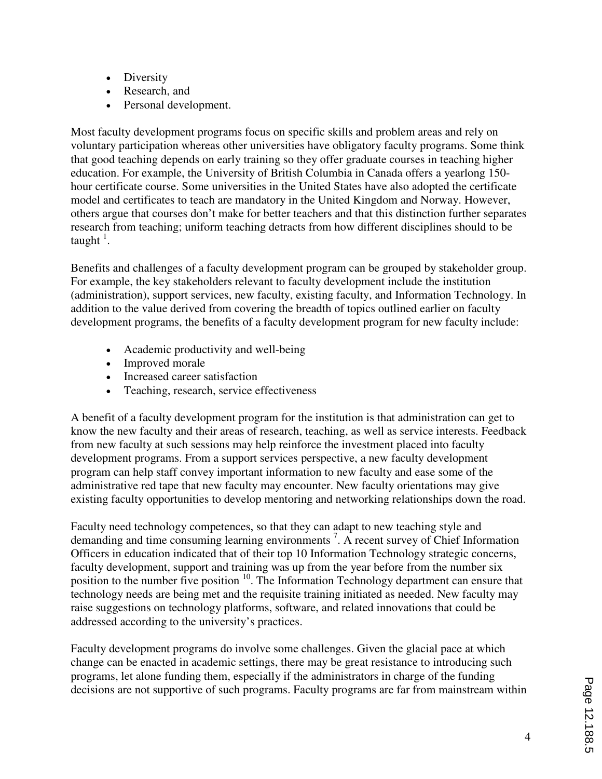- Diversity
- Research, and
- Personal development.

Most faculty development programs focus on specific skills and problem areas and rely on voluntary participation whereas other universities have obligatory faculty programs. Some think that good teaching depends on early training so they offer graduate courses in teaching higher education. For example, the University of British Columbia in Canada offers a yearlong 150 hour certificate course. Some universities in the United States have also adopted the certificate model and certificates to teach are mandatory in the United Kingdom and Norway. However, others argue that courses don't make for better teachers and that this distinction further separates research from teaching; uniform teaching detracts from how different disciplines should to be taught<sup>1</sup>.

Benefits and challenges of a faculty development program can be grouped by stakeholder group. For example, the key stakeholders relevant to faculty development include the institution (administration), support services, new faculty, existing faculty, and Information Technology. In addition to the value derived from covering the breadth of topics outlined earlier on faculty development programs, the benefits of a faculty development program for new faculty include:

- Academic productivity and well-being
- Improved morale
- Increased career satisfaction
- Teaching, research, service effectiveness

A benefit of a faculty development program for the institution is that administration can get to know the new faculty and their areas of research, teaching, as well as service interests. Feedback from new faculty at such sessions may help reinforce the investment placed into faculty development programs. From a support services perspective, a new faculty development program can help staff convey important information to new faculty and ease some of the administrative red tape that new faculty may encounter. New faculty orientations may give existing faculty opportunities to develop mentoring and networking relationships down the road.

Faculty need technology competences, so that they can adapt to new teaching style and demanding and time consuming learning environments <sup>7</sup> . A recent survey of Chief Information Officers in education indicated that of their top 10 Information Technology strategic concerns, faculty development, support and training was up from the year before from the number six position to the number five position <sup>10</sup>. The Information Technology department can ensure that technology needs are being met and the requisite training initiated as needed. New faculty may raise suggestions on technology platforms, software, and related innovations that could be addressed according to the university's practices.

Faculty development programs do involve some challenges. Given the glacial pace at which change can be enacted in academic settings, there may be great resistance to introducing such programs, let alone funding them, especially if the administrators in charge of the funding decisions are not supportive of such programs. Faculty programs are far from mainstream within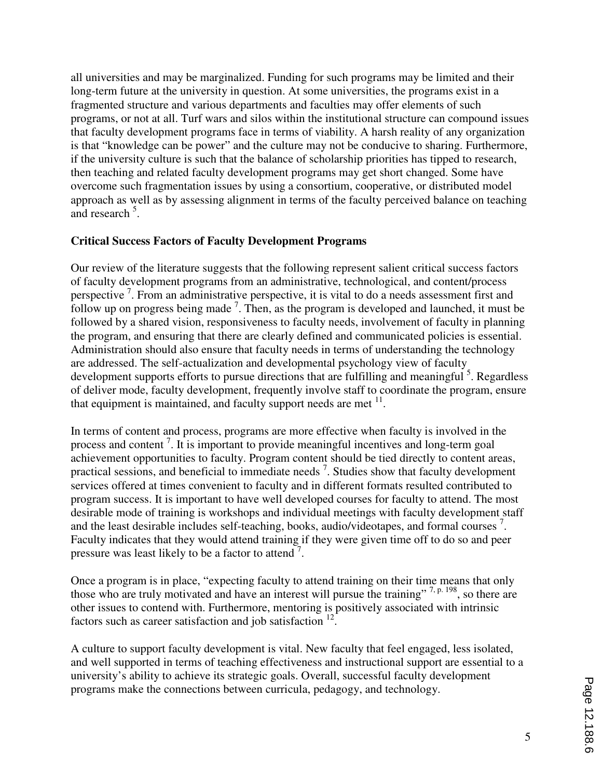all universities and may be marginalized. Funding for such programs may be limited and their long-term future at the university in question. At some universities, the programs exist in a fragmented structure and various departments and faculties may offer elements of such programs, or not at all. Turf wars and silos within the institutional structure can compound issues that faculty development programs face in terms of viability. A harsh reality of any organization is that "knowledge can be power" and the culture may not be conducive to sharing. Furthermore, if the university culture is such that the balance of scholarship priorities has tipped to research, then teaching and related faculty development programs may get short changed. Some have overcome such fragmentation issues by using a consortium, cooperative, or distributed model approach as well as by assessing alignment in terms of the faculty perceived balance on teaching and research<sup>5</sup>.

#### **Critical Success Factors of Faculty Development Programs**

Our review of the literature suggests that the following represent salient critical success factors of faculty development programs from an administrative, technological, and content/process perspective<sup>7</sup>. From an administrative perspective, it is vital to do a needs assessment first and follow up on progress being made  $<sup>7</sup>$ . Then, as the program is developed and launched, it must be</sup> followed by a shared vision, responsiveness to faculty needs, involvement of faculty in planning the program, and ensuring that there are clearly defined and communicated policies is essential. Administration should also ensure that faculty needs in terms of understanding the technology are addressed. The self-actualization and developmental psychology view of faculty development supports efforts to pursue directions that are fulfilling and meaningful <sup>5</sup>. Regardless of deliver mode, faculty development, frequently involve staff to coordinate the program, ensure that equipment is maintained, and faculty support needs are met  $11$ .

In terms of content and process, programs are more effective when faculty is involved in the process and content<sup>7</sup>. It is important to provide meaningful incentives and long-term goal achievement opportunities to faculty. Program content should be tied directly to content areas, practical sessions, and beneficial to immediate needs<sup>7</sup>. Studies show that faculty development services offered at times convenient to faculty and in different formats resulted contributed to program success. It is important to have well developed courses for faculty to attend. The most desirable mode of training is workshops and individual meetings with faculty development staff and the least desirable includes self-teaching, books, audio/videotapes, and formal courses<sup>7</sup>. Faculty indicates that they would attend training if they were given time off to do so and peer pressure was least likely to be a factor to attend<sup>7</sup>.

Once a program is in place, "expecting faculty to attend training on their time means that only those who are truly motivated and have an interest will pursue the training" <sup>7, p. 198</sup>, so there are other issues to contend with. Furthermore, mentoring is positively associated with intrinsic factors such as career satisfaction and job satisfaction  $12$ .

A culture to support faculty development is vital. New faculty that feel engaged, less isolated, and well supported in terms of teaching effectiveness and instructional support are essential to a university's ability to achieve its strategic goals. Overall, successful faculty development programs make the connections between curricula, pedagogy, and technology.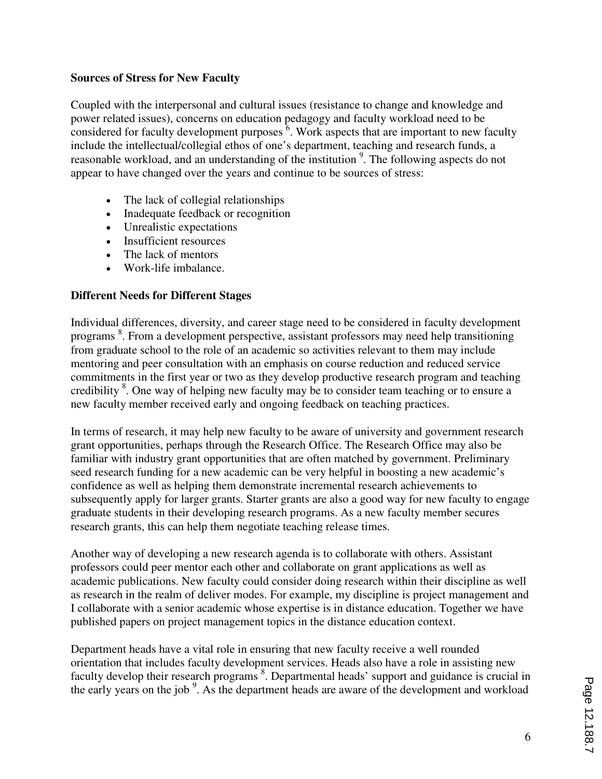### **Sources of Stress for New Faculty**

Coupled with the interpersonal and cultural issues (resistance to change and knowledge and power related issues), concerns on education pedagogy and faculty workload need to be considered for faculty development purposes  $\overline{6}$ . Work aspects that are important to new faculty include the intellectual/collegial ethos of one's department, teaching and research funds, a reasonable workload, and an understanding of the institution<sup>9</sup>. The following aspects do not appear to have changed over the years and continue to be sources of stress:

- The lack of collegial relationships
- Inadequate feedback or recognition
- Unrealistic expectations
- Insufficient resources
- The lack of mentors
- Work-life imbalance.

#### **Different Needs for Different Stages**

Individual differences, diversity, and career stage need to be considered in faculty development programs <sup>8</sup>. From a development perspective, assistant professors may need help transitioning from graduate school to the role of an academic so activities relevant to them may include mentoring and peer consultation with an emphasis on course reduction and reduced service commitments in the first year or two as they develop productive research program and teaching credibility <sup>8</sup>. One way of helping new faculty may be to consider team teaching or to ensure a new faculty member received early and ongoing feedback on teaching practices.

In terms of research, it may help new faculty to be aware of university and government research grant opportunities, perhaps through the Research Office. The Research Office may also be familiar with industry grant opportunities that are often matched by government. Preliminary seed research funding for a new academic can be very helpful in boosting a new academic's confidence as well as helping them demonstrate incremental research achievements to subsequently apply for larger grants. Starter grants are also a good way for new faculty to engage graduate students in their developing research programs. As a new faculty member secures research grants, this can help them negotiate teaching release times.

Another way of developing a new research agenda is to collaborate with others. Assistant professors could peer mentor each other and collaborate on grant applications as well as academic publications. New faculty could consider doing research within their discipline as well as research in the realm of deliver modes. For example, my discipline is project management and I collaborate with a senior academic whose expertise is in distance education. Together we have published papers on project management topics in the distance education context.

Department heads have a vital role in ensuring that new faculty receive a well rounded orientation that includes faculty development services. Heads also have a role in assisting new faculty develop their research programs <sup>8</sup>. Departmental heads' support and guidance is crucial in the early years on the job<sup>9</sup>. As the department heads are aware of the development and workload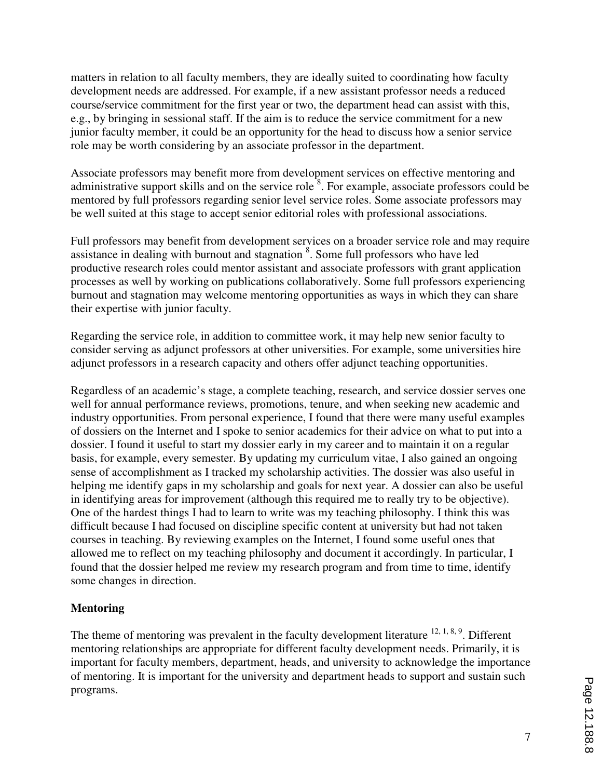matters in relation to all faculty members, they are ideally suited to coordinating how faculty development needs are addressed. For example, if a new assistant professor needs a reduced course/service commitment for the first year or two, the department head can assist with this, e.g., by bringing in sessional staff. If the aim is to reduce the service commitment for a new junior faculty member, it could be an opportunity for the head to discuss how a senior service role may be worth considering by an associate professor in the department.

Associate professors may benefit more from development services on effective mentoring and administrative support skills and on the service role<sup>8</sup>. For example, associate professors could be mentored by full professors regarding senior level service roles. Some associate professors may be well suited at this stage to accept senior editorial roles with professional associations.

Full professors may benefit from development services on a broader service role and may require assistance in dealing with burnout and stagnation <sup>8</sup>. Some full professors who have led productive research roles could mentor assistant and associate professors with grant application processes as well by working on publications collaboratively. Some full professors experiencing burnout and stagnation may welcome mentoring opportunities as ways in which they can share their expertise with junior faculty.

Regarding the service role, in addition to committee work, it may help new senior faculty to consider serving as adjunct professors at other universities. For example, some universities hire adjunct professors in a research capacity and others offer adjunct teaching opportunities.

Regardless of an academic's stage, a complete teaching, research, and service dossier serves one well for annual performance reviews, promotions, tenure, and when seeking new academic and industry opportunities. From personal experience, I found that there were many useful examples of dossiers on the Internet and I spoke to senior academics for their advice on what to put into a dossier. I found it useful to start my dossier early in my career and to maintain it on a regular basis, for example, every semester. By updating my curriculum vitae, I also gained an ongoing sense of accomplishment as I tracked my scholarship activities. The dossier was also useful in helping me identify gaps in my scholarship and goals for next year. A dossier can also be useful in identifying areas for improvement (although this required me to really try to be objective). One of the hardest things I had to learn to write was my teaching philosophy. I think this was difficult because I had focused on discipline specific content at university but had not taken courses in teaching. By reviewing examples on the Internet, I found some useful ones that allowed me to reflect on my teaching philosophy and document it accordingly. In particular, I found that the dossier helped me review my research program and from time to time, identify some changes in direction.

#### **Mentoring**

The theme of mentoring was prevalent in the faculty development literature  $12, 1, 8, 9$ . Different mentoring relationships are appropriate for different faculty development needs. Primarily, it is important for faculty members, department, heads, and university to acknowledge the importance of mentoring. It is important for the university and department heads to support and sustain such programs.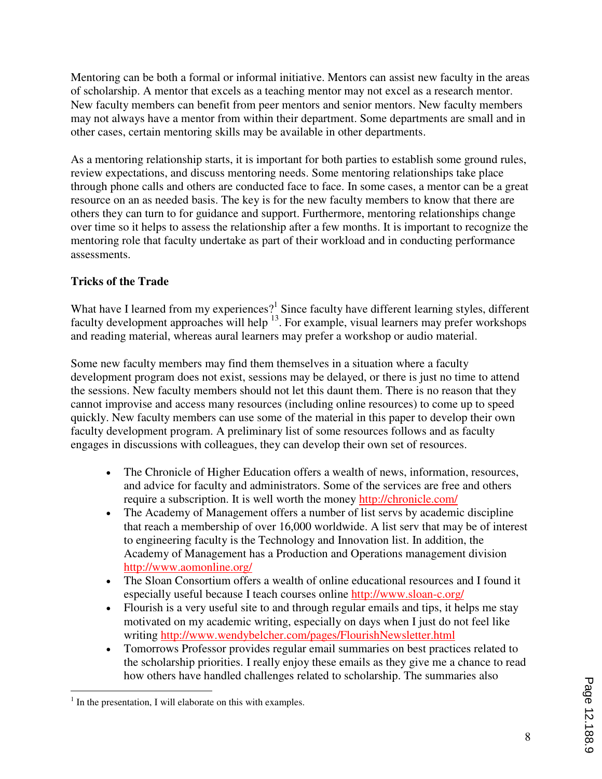Mentoring can be both a formal or informal initiative. Mentors can assist new faculty in the areas of scholarship. A mentor that excels as a teaching mentor may not excel as a research mentor. New faculty members can benefit from peer mentors and senior mentors. New faculty members may not always have a mentor from within their department. Some departments are small and in other cases, certain mentoring skills may be available in other departments.

As a mentoring relationship starts, it is important for both parties to establish some ground rules, review expectations, and discuss mentoring needs. Some mentoring relationships take place through phone calls and others are conducted face to face. In some cases, a mentor can be a great resource on an as needed basis. The key is for the new faculty members to know that there are others they can turn to for guidance and support. Furthermore, mentoring relationships change over time so it helps to assess the relationship after a few months. It is important to recognize the mentoring role that faculty undertake as part of their workload and in conducting performance assessments.

### **Tricks of the Trade**

What have I learned from my experiences?<sup>1</sup> Since faculty have different learning styles, different faculty development approaches will help  $^{13}$ . For example, visual learners may prefer workshops and reading material, whereas aural learners may prefer a workshop or audio material.

Some new faculty members may find them themselves in a situation where a faculty development program does not exist, sessions may be delayed, or there is just no time to attend the sessions. New faculty members should not let this daunt them. There is no reason that they cannot improvise and access many resources (including online resources) to come up to speed quickly. New faculty members can use some of the material in this paper to develop their own faculty development program. A preliminary list of some resources follows and as faculty engages in discussions with colleagues, they can develop their own set of resources.

- The Chronicle of Higher Education offers a wealth of news, information, resources, and advice for faculty and administrators. Some of the services are free and others require a subscription. It is well worth the money http://chronicle.com/
- The Academy of Management offers a number of list servs by academic discipline that reach a membership of over 16,000 worldwide. A list serv that may be of interest to engineering faculty is the Technology and Innovation list. In addition, the Academy of Management has a Production and Operations management division http://www.aomonline.org/
- The Sloan Consortium offers a wealth of online educational resources and I found it especially useful because I teach courses online http://www.sloan-c.org/
- Flourish is a very useful site to and through regular emails and tips, it helps me stay motivated on my academic writing, especially on days when I just do not feel like writing http://www.wendybelcher.com/pages/FlourishNewsletter.html
- Tomorrows Professor provides regular email summaries on best practices related to the scholarship priorities. I really enjoy these emails as they give me a chance to read how others have handled challenges related to scholarship. The summaries also

 $\overline{a}$  $<sup>1</sup>$  In the presentation, I will elaborate on this with examples.</sup>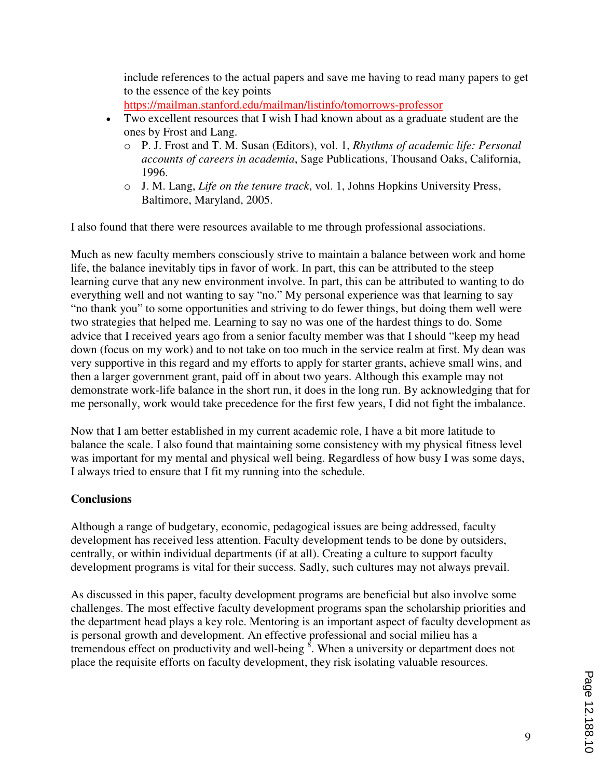include references to the actual papers and save me having to read many papers to get to the essence of the key points

https://mailman.stanford.edu/mailman/listinfo/tomorrows-professor

- Two excellent resources that I wish I had known about as a graduate student are the ones by Frost and Lang.
	- o P. J. Frost and T. M. Susan (Editors), vol. 1, *Rhythms of academic life: Personal accounts of careers in academia*, Sage Publications, Thousand Oaks, California, 1996.
	- o J. M. Lang, *Life on the tenure track*, vol. 1, Johns Hopkins University Press, Baltimore, Maryland, 2005.

I also found that there were resources available to me through professional associations.

Much as new faculty members consciously strive to maintain a balance between work and home life, the balance inevitably tips in favor of work. In part, this can be attributed to the steep learning curve that any new environment involve. In part, this can be attributed to wanting to do everything well and not wanting to say "no." My personal experience was that learning to say "no thank you" to some opportunities and striving to do fewer things, but doing them well were two strategies that helped me. Learning to say no was one of the hardest things to do. Some advice that I received years ago from a senior faculty member was that I should "keep my head down (focus on my work) and to not take on too much in the service realm at first. My dean was very supportive in this regard and my efforts to apply for starter grants, achieve small wins, and then a larger government grant, paid off in about two years. Although this example may not demonstrate work-life balance in the short run, it does in the long run. By acknowledging that for me personally, work would take precedence for the first few years, I did not fight the imbalance.

Now that I am better established in my current academic role, I have a bit more latitude to balance the scale. I also found that maintaining some consistency with my physical fitness level was important for my mental and physical well being. Regardless of how busy I was some days, I always tried to ensure that I fit my running into the schedule.

## **Conclusions**

Although a range of budgetary, economic, pedagogical issues are being addressed, faculty development has received less attention. Faculty development tends to be done by outsiders, centrally, or within individual departments (if at all). Creating a culture to support faculty development programs is vital for their success. Sadly, such cultures may not always prevail.

As discussed in this paper, faculty development programs are beneficial but also involve some challenges. The most effective faculty development programs span the scholarship priorities and the department head plays a key role. Mentoring is an important aspect of faculty development as is personal growth and development. An effective professional and social milieu has a tremendous effect on productivity and well-being  $\delta$ . When a university or department does not place the requisite efforts on faculty development, they risk isolating valuable resources.